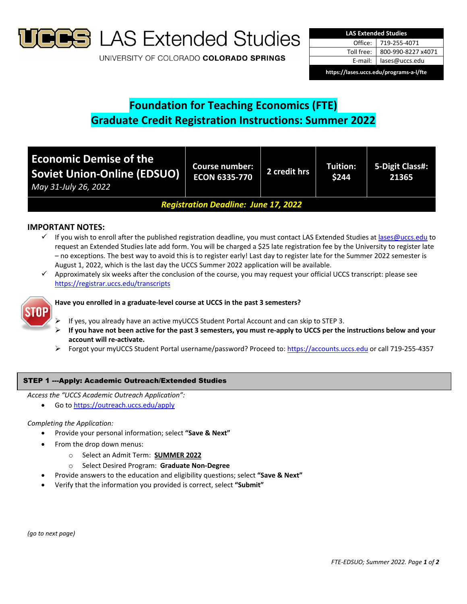

**S** LAS Extended Studies

UNIVERSITY OF COLORADO COLORADO SPRINGS

| <b>LAS Extended Studies</b>             |                    |  |  |  |
|-----------------------------------------|--------------------|--|--|--|
| Office: I                               | 719-255-4071       |  |  |  |
| Toll free:                              | 800-990-8227 x4071 |  |  |  |
| E-mail: I                               | lases@uccs.edu     |  |  |  |
| https://lases.uccs.edu/programs-a-l/fte |                    |  |  |  |

# **Foundation for Teaching Economics (FTE) Graduate Credit Registration Instructions: Summer 2022**

| <b>Economic Demise of the</b><br><b>Soviet Union-Online (EDSUO)</b><br>May 31-July 26, 2022 | Course number:<br><b>ECON 6335-770</b> | 2 credit hrs | Tuition:<br>\$244 | 5-Digit Class#:<br>21365 |
|---------------------------------------------------------------------------------------------|----------------------------------------|--------------|-------------------|--------------------------|
| <b>Registration Deadline: June 17, 2022</b>                                                 |                                        |              |                   |                          |

# **IMPORTANT NOTES:**

- $\checkmark$  If you wish to enroll after the published registration deadline, you must contact LAS Extended Studies at lases@uccs.edu to request an Extended Studies late add form. You will be charged a \$25 late registration fee by the University to register late – no exceptions. The best way to avoid this is to register early! Last day to register late for the Summer 2022 semester is August 1, 2022, which is the last day the UCCS Summer 2022 application will be available.
- $\checkmark$  Approximately six weeks after the conclusion of the course, you may request your official UCCS transcript: please see https://registrar.uccs.edu/transcripts



# **Have you enrolled in a graduate‐level course at UCCS in the past 3 semesters?**

- If yes, you already have an active myUCCS Student Portal Account and can skip to STEP 3.
- If you have not been active for the past 3 semesters, you must re-apply to UCCS per the instructions below and your **account will re‐activate.**
- Forgot your myUCCS Student Portal username/password? Proceed to: https://accounts.uccs.edu or call 719‐255‐4357

## STEP 1 ---Apply: Academic Outreach/Extended Studies

*Access the "UCCS Academic Outreach Application":*

Go to https://outreach.uccs.edu/apply

#### *Completing the Application:*

- Provide your personal information; select **"Save & Next"**
- From the drop down menus:
	- o Select an Admit Term: **SUMMER 2022**
	- o Select Desired Program: **Graduate Non‐Degree**
	- Provide answers to the education and eligibility questions; select **"Save & Next"**
- Verify that the information you provided is correct, select **"Submit"**

*(go to next page)*